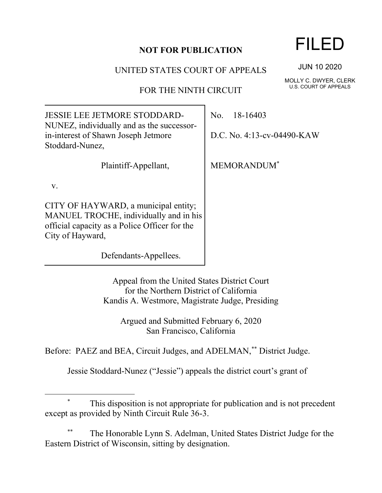### **NOT FOR PUBLICATION**

#### UNITED STATES COURT OF APPEALS

FOR THE NINTH CIRCUIT

JESSIE LEE JETMORE STODDARD-NUNEZ, individually and as the successorin-interest of Shawn Joseph Jetmore Stoddard-Nunez,

Plaintiff-Appellant,

v.

CITY OF HAYWARD, a municipal entity; MANUEL TROCHE, individually and in his official capacity as a Police Officer for the City of Hayward,

Defendants-Appellees.

No. 18-16403

D.C. No. 4:13-cv-04490-KAW

MEMORANDUM\*

Appeal from the United States District Court for the Northern District of California Kandis A. Westmore, Magistrate Judge, Presiding

Argued and Submitted February 6, 2020 San Francisco, California

Before: PAEZ and BEA, Circuit Judges, and ADELMAN,<sup>\*\*</sup> District Judge.

Jessie Stoddard-Nunez ("Jessie") appeals the district court's grant of

## This disposition is not appropriate for publication and is not precedent except as provided by Ninth Circuit Rule 36-3.

The Honorable Lynn S. Adelman, United States District Judge for the Eastern District of Wisconsin, sitting by designation.

# FILED

JUN 10 2020

MOLLY C. DWYER, CLERK U.S. COURT OF APPEALS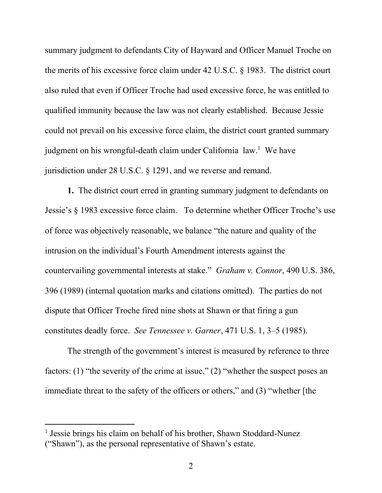summary judgment to defendants City of Hayward and Officer Manuel Troche on the merits of his excessive force claim under 42 U.S.C. § 1983. The district court also ruled that even if Officer Troche had used excessive force, he was entitled to qualified immunity because the law was not clearly established. Because Jessie could not prevail on his excessive force claim, the district court granted summary judgment on his wrongful-death claim under California law.<sup>1</sup> We have jurisdiction under 28 U.S.C. § 1291, and we reverse and remand.

**1.** The district court erred in granting summary judgment to defendants on Jessie's § 1983 excessive force claim. To determine whether Officer Troche's use of force was objectively reasonable, we balance "the nature and quality of the intrusion on the individual's Fourth Amendment interests against the countervailing governmental interests at stake." *Graham v. Connor*, 490 U.S. 386, 396 (1989) (internal quotation marks and citations omitted). The parties do not dispute that Officer Troche fired nine shots at Shawn or that firing a gun constitutes deadly force. *See Tennessee v. Garner*, 471 U.S. 1, 3–5 (1985).

The strength of the government's interest is measured by reference to three factors: (1) "the severity of the crime at issue," (2) "whether the suspect poses an immediate threat to the safety of the officers or others," and (3) "whether [the

<sup>&</sup>lt;sup>1</sup> Jessie brings his claim on behalf of his brother, Shawn Stoddard-Nunez ("Shawn"), as the personal representative of Shawn's estate.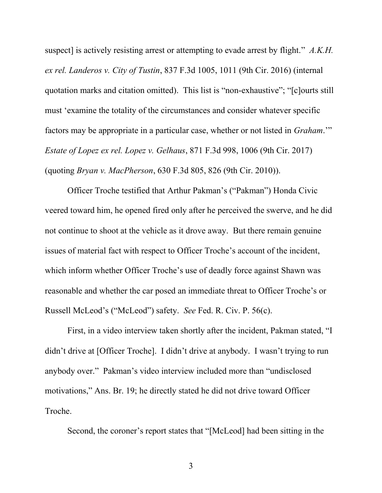suspect] is actively resisting arrest or attempting to evade arrest by flight." *A.K.H. ex rel. Landeros v. City of Tustin*, 837 F.3d 1005, 1011 (9th Cir. 2016) (internal quotation marks and citation omitted). This list is "non-exhaustive"; "[c]ourts still must 'examine the totality of the circumstances and consider whatever specific factors may be appropriate in a particular case, whether or not listed in *Graham*.'" *Estate of Lopez ex rel. Lopez v. Gelhaus*, 871 F.3d 998, 1006 (9th Cir. 2017) (quoting *Bryan v. MacPherson*, 630 F.3d 805, 826 (9th Cir. 2010)).

Officer Troche testified that Arthur Pakman's ("Pakman") Honda Civic veered toward him, he opened fired only after he perceived the swerve, and he did not continue to shoot at the vehicle as it drove away. But there remain genuine issues of material fact with respect to Officer Troche's account of the incident, which inform whether Officer Troche's use of deadly force against Shawn was reasonable and whether the car posed an immediate threat to Officer Troche's or Russell McLeod's ("McLeod") safety. *See* Fed. R. Civ. P. 56(c).

First, in a video interview taken shortly after the incident, Pakman stated, "I didn't drive at [Officer Troche]. I didn't drive at anybody. I wasn't trying to run anybody over." Pakman's video interview included more than "undisclosed motivations," Ans. Br. 19; he directly stated he did not drive toward Officer Troche.

Second, the coroner's report states that "[McLeod] had been sitting in the

3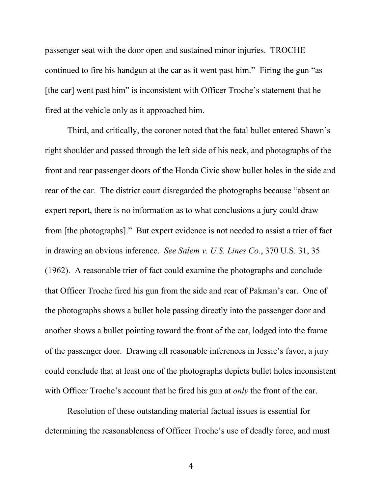passenger seat with the door open and sustained minor injuries. TROCHE continued to fire his handgun at the car as it went past him." Firing the gun "as [the car] went past him" is inconsistent with Officer Troche's statement that he fired at the vehicle only as it approached him.

Third, and critically, the coroner noted that the fatal bullet entered Shawn's right shoulder and passed through the left side of his neck, and photographs of the front and rear passenger doors of the Honda Civic show bullet holes in the side and rear of the car.The district court disregarded the photographs because "absent an expert report, there is no information as to what conclusions a jury could draw from [the photographs]." But expert evidence is not needed to assist a trier of fact in drawing an obvious inference. *See Salem v. U.S. Lines Co.*, 370 U.S. 31, 35 (1962). A reasonable trier of fact could examine the photographs and conclude that Officer Troche fired his gun from the side and rear of Pakman's car. One of the photographs shows a bullet hole passing directly into the passenger door and another shows a bullet pointing toward the front of the car, lodged into the frame of the passenger door. Drawing all reasonable inferences in Jessie's favor, a jury could conclude that at least one of the photographs depicts bullet holes inconsistent with Officer Troche's account that he fired his gun at *only* the front of the car.

Resolution of these outstanding material factual issues is essential for determining the reasonableness of Officer Troche's use of deadly force, and must

4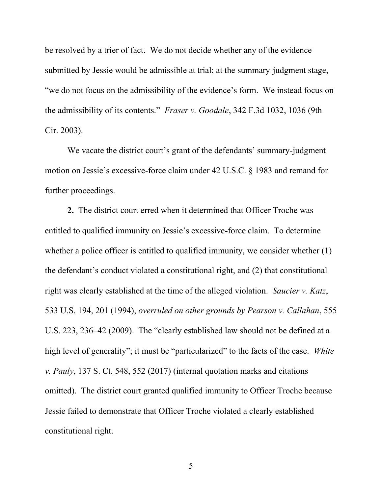be resolved by a trier of fact. We do not decide whether any of the evidence submitted by Jessie would be admissible at trial; at the summary-judgment stage, "we do not focus on the admissibility of the evidence's form. We instead focus on the admissibility of its contents." *Fraser v. Goodale*, 342 F.3d 1032, 1036 (9th Cir. 2003).

We vacate the district court's grant of the defendants' summary-judgment motion on Jessie's excessive-force claim under 42 U.S.C. § 1983 and remand for further proceedings.

**2.** The district court erred when it determined that Officer Troche was entitled to qualified immunity on Jessie's excessive-force claim. To determine whether a police officer is entitled to qualified immunity, we consider whether (1) the defendant's conduct violated a constitutional right, and (2) that constitutional right was clearly established at the time of the alleged violation. *Saucier v. Katz*, 533 U.S. 194, 201 (1994), *overruled on other grounds by Pearson v. Callahan*, 555 U.S. 223, 236–42 (2009). The "clearly established law should not be defined at a high level of generality"; it must be "particularized" to the facts of the case. *White v. Pauly*, 137 S. Ct. 548, 552 (2017) (internal quotation marks and citations omitted). The district court granted qualified immunity to Officer Troche because Jessie failed to demonstrate that Officer Troche violated a clearly established constitutional right.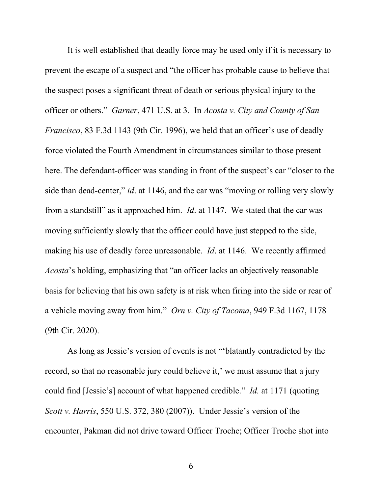It is well established that deadly force may be used only if it is necessary to prevent the escape of a suspect and "the officer has probable cause to believe that the suspect poses a significant threat of death or serious physical injury to the officer or others." *Garner*, 471 U.S. at 3. In *Acosta v. City and County of San Francisco*, 83 F.3d 1143 (9th Cir. 1996), we held that an officer's use of deadly force violated the Fourth Amendment in circumstances similar to those present here. The defendant-officer was standing in front of the suspect's car "closer to the side than dead-center," *id*. at 1146, and the car was "moving or rolling very slowly from a standstill" as it approached him. *Id*. at 1147. We stated that the car was moving sufficiently slowly that the officer could have just stepped to the side, making his use of deadly force unreasonable. *Id*. at 1146. We recently affirmed *Acosta*'s holding, emphasizing that "an officer lacks an objectively reasonable basis for believing that his own safety is at risk when firing into the side or rear of a vehicle moving away from him." *Orn v. City of Tacoma*, 949 F.3d 1167, 1178 (9th Cir. 2020).

As long as Jessie's version of events is not "'blatantly contradicted by the record, so that no reasonable jury could believe it,' we must assume that a jury could find [Jessie's] account of what happened credible." *Id.* at 1171 (quoting *Scott v. Harris*, 550 U.S. 372, 380 (2007)). Under Jessie's version of the encounter, Pakman did not drive toward Officer Troche; Officer Troche shot into

6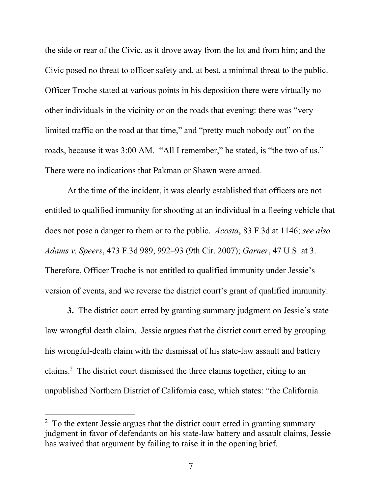the side or rear of the Civic, as it drove away from the lot and from him; and the Civic posed no threat to officer safety and, at best, a minimal threat to the public. Officer Troche stated at various points in his deposition there were virtually no other individuals in the vicinity or on the roads that evening: there was "very limited traffic on the road at that time," and "pretty much nobody out" on the roads, because it was 3:00 AM. "All I remember," he stated, is "the two of us." There were no indications that Pakman or Shawn were armed.

At the time of the incident, it was clearly established that officers are not entitled to qualified immunity for shooting at an individual in a fleeing vehicle that does not pose a danger to them or to the public. *Acosta*, 83 F.3d at 1146; *see also Adams v. Speers*, 473 F.3d 989, 992–93 (9th Cir. 2007); *Garner*, 47 U.S. at 3. Therefore, Officer Troche is not entitled to qualified immunity under Jessie's version of events, and we reverse the district court's grant of qualified immunity.

**3.** The district court erred by granting summary judgment on Jessie's state law wrongful death claim. Jessie argues that the district court erred by grouping his wrongful-death claim with the dismissal of his state-law assault and battery claims.<sup>2</sup> The district court dismissed the three claims together, citing to an unpublished Northern District of California case, which states: "the California

 $2<sup>2</sup>$  To the extent Jessie argues that the district court erred in granting summary judgment in favor of defendants on his state-law battery and assault claims, Jessie has waived that argument by failing to raise it in the opening brief.